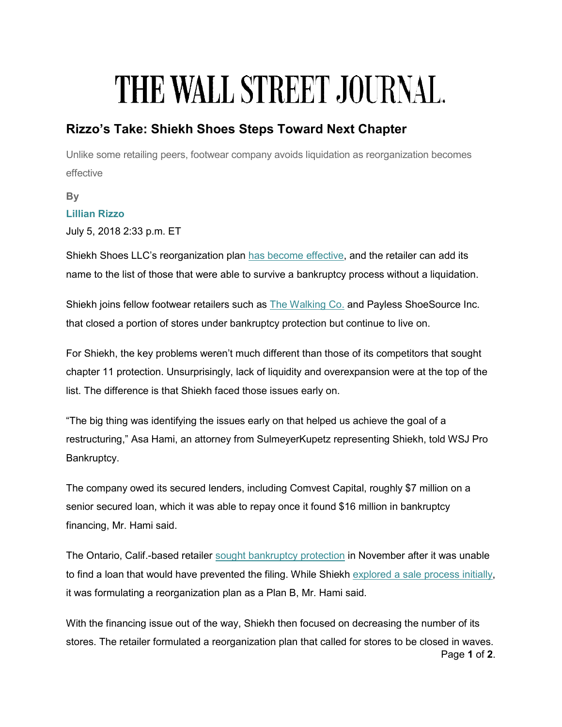## THE WALL STREET JOURNAL.

## Rizzo's Take: Shiekh Shoes Steps Toward Next Chapter

Unlike some retailing peers, footwear company avoids liquidation as reorganization becomes effective

By Lillian Rizzo

July 5, 2018 2:33 p.m. ET

Shiekh Shoes LLC's reorganization plan [has become effective, a](https://pdf.courtdrive.com/pacer/cacbke/1809619/dockets/697/1-DBDA118A-7C33-11E8-B2B7-F9A7E51554E8?mod=article_inline)nd the retailer can add its name to the list of those that were able to survive a bankruptcy process without a liquidation.

Shiekh joins fellow footwear retailers such as [The Walking Co.](https://www.wsj.com/articles/rizzos-take-big-steps-taken-in-shoe-retailer-bankruptcy-cases-1529356390?mod=searchresults&page=1&pos=1&mod=article_inline) and Payless ShoeSource Inc. that closed a portion of stores under bankruptcy protection but continue to live on.

For Shiekh, the key problems weren't much different than those of its competitors that sought chapter 11 protection. Unsurprisingly, lack of liquidity and overexpansion were at the top of the list. The difference is that Shiekh faced those issues early on.

"The big thing was identifying the issues early on that helped us achieve the goal of a restructuring," Asa Hami, an attorney from SulmeyerKupetz representing Shiekh, told WSJ Pro Bankruptcy.

The company owed its secured lenders, including Comvest Capital, roughly \$7 million on a senior secured loan, which it was able to repay once it found \$16 million in bankruptcy financing, Mr. Hami said.

The Ontario, Calif.-based retailer [sought bankruptcy protection](https://www.wsj.com/articles/retailer-shiekh-shoes-seeks-bankruptcy-protection-1511993828?mod=searchresults&page=2&pos=12&mod=article_inline) in November after it was unable to find a loan that would have prevented the filing. While Shiekh [explored a sale process initially,](https://www.wsj.com/articles/shiekh-shoes-switches-gears-from-sale-to-reorganization-1521746556?mod=searchresults&page=1&pos=7&mod=article_inline)  it was formulating a reorganization plan as a Plan B, Mr. Hami said.

Page 1 of 2. With the financing issue out of the way, Shiekh then focused on decreasing the number of its stores. The retailer formulated a reorganization plan that called for stores to be closed in waves.